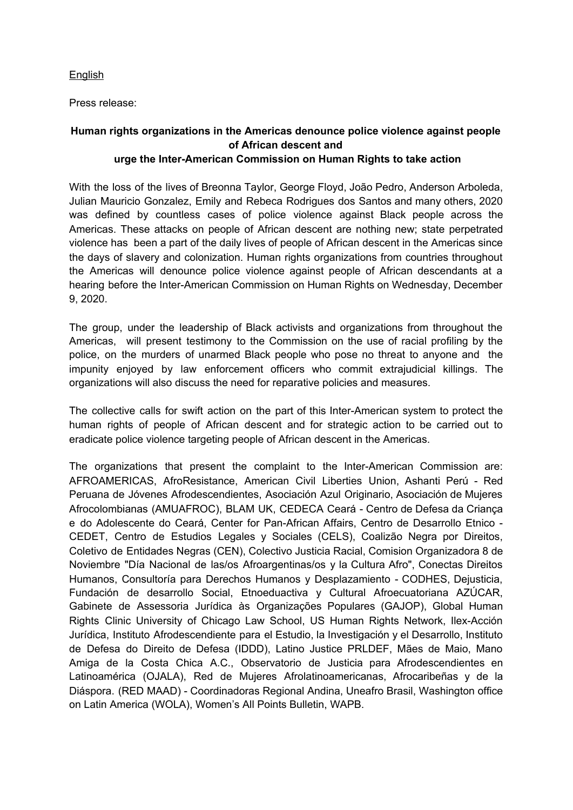## English

Press release:

## **Human rights organizations in the Americas denounce police violence against people of African descent and urge the Inter-American Commission on Human Rights to take action**

With the loss of the lives of Breonna Taylor, George Floyd, João Pedro, Anderson Arboleda, Julian Mauricio Gonzalez, Emily and Rebeca Rodrigues dos Santos and many others, 2020 was defined by countless cases of police violence against Black people across the Americas. These attacks on people of African descent are nothing new; state perpetrated violence has been a part of the daily lives of people of African descent in the Americas since the days of slavery and colonization. Human rights organizations from countries throughout the Americas will denounce police violence against people of African descendants at a hearing before the Inter-American Commission on Human Rights on Wednesday, December 9, 2020.

The group, under the leadership of Black activists and organizations from throughout the Americas, will present testimony to the Commission on the use of racial profiling by the police, on the murders of unarmed Black people who pose no threat to anyone and the impunity enjoyed by law enforcement officers who commit extrajudicial killings. The organizations will also discuss the need for reparative policies and measures.

The collective calls for swift action on the part of this Inter-American system to protect the human rights of people of African descent and for strategic action to be carried out to eradicate police violence targeting people of African descent in the Americas.

The organizations that present the complaint to the Inter-American Commission are: AFROAMERICAS, AfroResistance, American Civil Liberties Union, Ashanti Perú - Red Peruana de Jóvenes Afrodescendientes, Asociación Azul Originario, Asociación de Mujeres Afrocolombianas (AMUAFROC), BLAM UK, CEDECA Ceará - Centro de Defesa da Criança e do Adolescente do Ceará, Center for Pan-African Affairs, Centro de Desarrollo Etnico - CEDET, Centro de Estudios Legales y Sociales (CELS), Coalizão Negra por Direitos, Coletivo de Entidades Negras (CEN), Colectivo Justicia Racial, Comision Organizadora 8 de Noviembre "Día Nacional de las/os Afroargentinas/os y la Cultura Afro", Conectas Direitos Humanos, Consultoría para Derechos Humanos y Desplazamiento - CODHES, Dejusticia, Fundación de desarrollo Social, Etnoeduactiva y Cultural Afroecuatoriana AZÚCAR, Gabinete de Assessoria Jurídica às Organizações Populares (GAJOP), Global Human Rights Clinic University of Chicago Law School, US Human Rights Network, Ilex-Acción Jurídica, Instituto Afrodescendiente para el Estudio, la Investigación y el Desarrollo, Instituto de Defesa do Direito de Defesa (IDDD), Latino Justice PRLDEF, Mães de Maio, Mano Amiga de la Costa Chica A.C., Observatorio de Justicia para Afrodescendientes en Latinoamérica (OJALA), Red de Mujeres Afrolatinoamericanas, Afrocaribeñas y de la Diáspora. (RED MAAD) - Coordinadoras Regional Andina, Uneafro Brasil, Washington office on Latin America (WOLA), Women's All Points Bulletin, WAPB.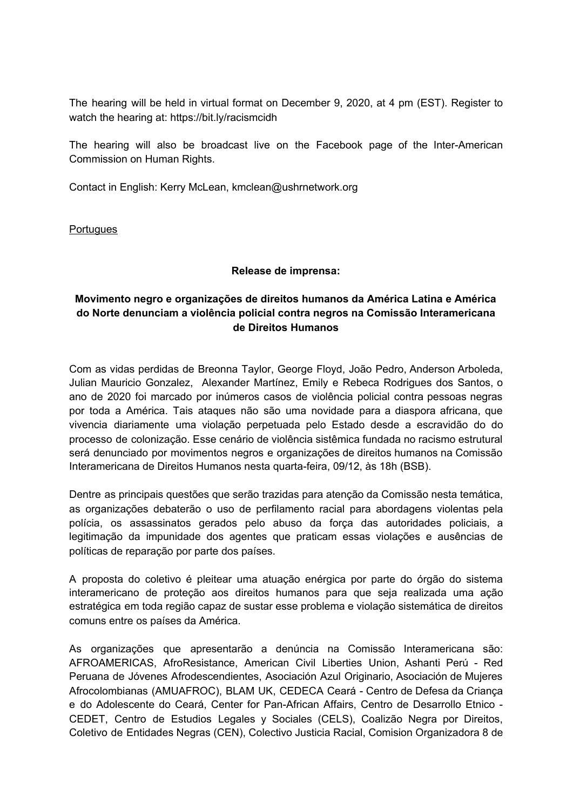The hearing will be held in virtual format on December 9, 2020, at 4 pm (EST). Register to watch the hearing at: https://bit.ly/racismcidh

The hearing will also be broadcast live on the Facebook page of the Inter-American Commission on Human Rights.

Contact in English: Kerry McLean, kmclean@ushrnetwork.org

**Portugues** 

## **Release de imprensa:**

## **Movimento negro e organizações de direitos humanos da América Latina e América do Norte denunciam a violência policial contra negros na Comissão Interamericana de Direitos Humanos**

Com as vidas perdidas de Breonna Taylor, George Floyd, João Pedro, Anderson Arboleda, Julian Mauricio Gonzalez, Alexander Martínez, Emily e Rebeca Rodrigues dos Santos, o ano de 2020 foi marcado por inúmeros casos de violência policial contra pessoas negras por toda a América. Tais ataques não são uma novidade para a diaspora africana, que vivencia diariamente uma violação perpetuada pelo Estado desde a escravidão do do processo de colonização. Esse cenário de violência sistêmica fundada no racismo estrutural será denunciado por movimentos negros e organizações de direitos humanos na Comissão Interamericana de Direitos Humanos nesta quarta-feira, 09/12, às 18h (BSB).

Dentre as principais questões que serão trazidas para atenção da Comissão nesta temática, as organizações debaterão o uso de perfilamento racial para abordagens violentas pela polícia, os assassinatos gerados pelo abuso da força das autoridades policiais, a legitimação da impunidade dos agentes que praticam essas violações e ausências de políticas de reparação por parte dos países.

A proposta do coletivo é pleitear uma atuação enérgica por parte do órgão do sistema interamericano de proteção aos direitos humanos para que seja realizada uma ação estratégica em toda região capaz de sustar esse problema e violação sistemática de direitos comuns entre os países da América.

As organizações que apresentarão a denúncia na Comissão Interamericana são: AFROAMERICAS, AfroResistance, American Civil Liberties Union, Ashanti Perú - Red Peruana de Jóvenes Afrodescendientes, Asociación Azul Originario, Asociación de Mujeres Afrocolombianas (AMUAFROC), BLAM UK, CEDECA Ceará - Centro de Defesa da Criança e do Adolescente do Ceará, Center for Pan-African Affairs, Centro de Desarrollo Etnico - CEDET, Centro de Estudios Legales y Sociales (CELS), Coalizão Negra por Direitos, Coletivo de Entidades Negras (CEN), Colectivo Justicia Racial, Comision Organizadora 8 de